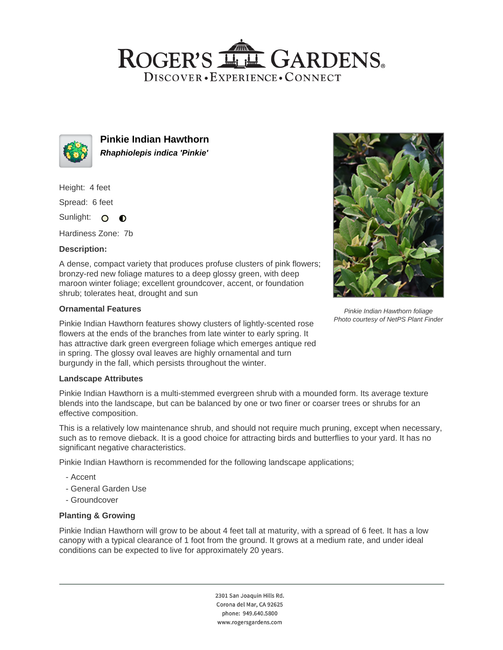# ROGER'S LL GARDENS. DISCOVER · EXPERIENCE · CONNECT



**Pinkie Indian Hawthorn Rhaphiolepis indica 'Pinkie'**

Height: 4 feet

Spread: 6 feet

Sunlight: O  $\bullet$ 

Hardiness Zone: 7b

## **Description:**

A dense, compact variety that produces profuse clusters of pink flowers; bronzy-red new foliage matures to a deep glossy green, with deep maroon winter foliage; excellent groundcover, accent, or foundation shrub; tolerates heat, drought and sun

## **Ornamental Features**

Pinkie Indian Hawthorn features showy clusters of lightly-scented rose flowers at the ends of the branches from late winter to early spring. It has attractive dark green evergreen foliage which emerges antique red in spring. The glossy oval leaves are highly ornamental and turn burgundy in the fall, which persists throughout the winter.

## **Landscape Attributes**

Pinkie Indian Hawthorn is a multi-stemmed evergreen shrub with a mounded form. Its average texture blends into the landscape, but can be balanced by one or two finer or coarser trees or shrubs for an effective composition.

This is a relatively low maintenance shrub, and should not require much pruning, except when necessary, such as to remove dieback. It is a good choice for attracting birds and butterflies to your yard. It has no significant negative characteristics.

Pinkie Indian Hawthorn is recommended for the following landscape applications;

- Accent
- General Garden Use
- Groundcover

## **Planting & Growing**

Pinkie Indian Hawthorn will grow to be about 4 feet tall at maturity, with a spread of 6 feet. It has a low canopy with a typical clearance of 1 foot from the ground. It grows at a medium rate, and under ideal conditions can be expected to live for approximately 20 years.

> 2301 San Joaquin Hills Rd. Corona del Mar, CA 92625 phone: 949.640.5800 www.rogersgardens.com



Pinkie Indian Hawthorn foliage Photo courtesy of NetPS Plant Finder